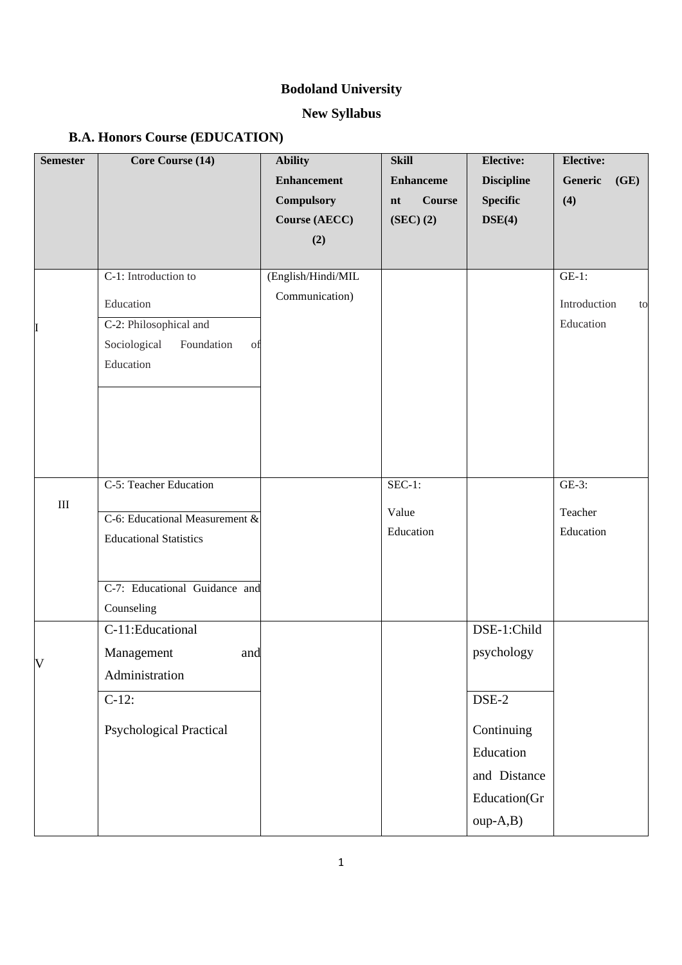# **Bodoland University**

# **New Syllabus**

## **B.A. Honors Course (EDUCATION)**

| <b>Semester</b> | Core Course (14)                 | <b>Ability</b>     | <b>Skill</b>         | <b>Elective:</b>  | <b>Elective:</b>   |
|-----------------|----------------------------------|--------------------|----------------------|-------------------|--------------------|
|                 |                                  | <b>Enhancement</b> | <b>Enhanceme</b>     | <b>Discipline</b> | Generic<br>(GE)    |
|                 |                                  | Compulsory         | <b>Course</b><br>n t | <b>Specific</b>   | (4)                |
|                 |                                  | Course (AECC)      | $(SEC)$ $(2)$        | DSE(4)            |                    |
|                 |                                  | (2)                |                      |                   |                    |
|                 |                                  |                    |                      |                   |                    |
| I               | C-1: Introduction to             | (English/Hindi/MIL |                      |                   | $GE-1$ :           |
|                 | Education                        | Communication)     |                      |                   | Introduction<br>to |
|                 | C-2: Philosophical and           |                    |                      |                   | Education          |
|                 | Sociological<br>Foundation<br>of |                    |                      |                   |                    |
|                 | Education                        |                    |                      |                   |                    |
|                 |                                  |                    |                      |                   |                    |
|                 |                                  |                    |                      |                   |                    |
|                 |                                  |                    |                      |                   |                    |
|                 |                                  |                    |                      |                   |                    |
|                 |                                  |                    |                      |                   |                    |
| $\rm III$       | C-5: Teacher Education           |                    | $SEC-1:$             |                   | GE-3:              |
|                 | C-6: Educational Measurement &   |                    | Value                |                   | Teacher            |
|                 | <b>Educational Statistics</b>    |                    | Education            |                   | Education          |
|                 |                                  |                    |                      |                   |                    |
|                 |                                  |                    |                      |                   |                    |
|                 | C-7: Educational Guidance and    |                    |                      |                   |                    |
|                 | Counseling                       |                    |                      |                   |                    |
| V               | C-11:Educational                 |                    |                      | DSE-1:Child       |                    |
|                 | Management<br>and                |                    |                      | psychology        |                    |
|                 | Administration                   |                    |                      |                   |                    |
|                 | $C-12$ :                         |                    |                      | $DSE-2$           |                    |
|                 | <b>Psychological Practical</b>   |                    |                      | Continuing        |                    |
|                 |                                  |                    |                      | Education         |                    |
|                 |                                  |                    |                      | and Distance      |                    |
|                 |                                  |                    |                      | Education(Gr      |                    |
|                 |                                  |                    |                      |                   |                    |
|                 |                                  |                    |                      | oup-A,B)          |                    |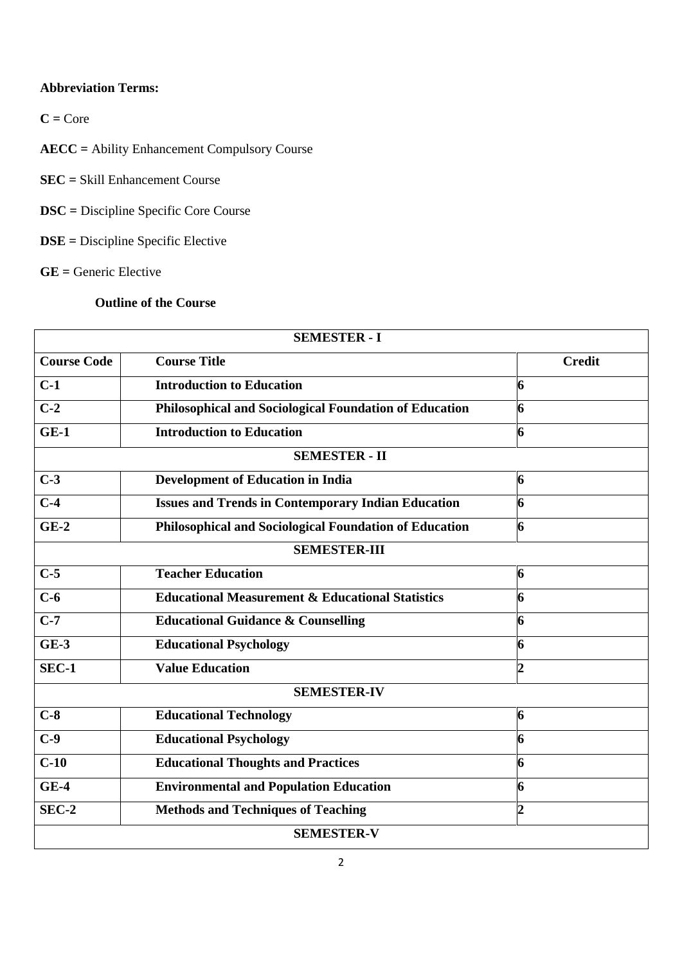## **Abbreviation Terms:**

 $C = Core$ 

**AECC =** Ability Enhancement Compulsory Course

**SEC =** Skill Enhancement Course

**DSC =** Discipline Specific Core Course

**DSE =** Discipline Specific Elective

**GE =** Generic Elective

## **Outline of the Course**

| <b>SEMESTER - I</b>  |                                                               |                |  |  |  |  |
|----------------------|---------------------------------------------------------------|----------------|--|--|--|--|
| <b>Course Code</b>   | <b>Course Title</b>                                           | <b>Credit</b>  |  |  |  |  |
| $C-1$                | <b>Introduction to Education</b>                              | 6              |  |  |  |  |
| $C-2$                | <b>Philosophical and Sociological Foundation of Education</b> | 6              |  |  |  |  |
| $GE-1$               | <b>Introduction to Education</b>                              | 6              |  |  |  |  |
| <b>SEMESTER - II</b> |                                                               |                |  |  |  |  |
| $C-3$                | <b>Development of Education in India</b>                      | 6              |  |  |  |  |
| $C-4$                | <b>Issues and Trends in Contemporary Indian Education</b>     | 6              |  |  |  |  |
| $GE-2$               | <b>Philosophical and Sociological Foundation of Education</b> | 6              |  |  |  |  |
| <b>SEMESTER-III</b>  |                                                               |                |  |  |  |  |
| $C-5$                | <b>Teacher Education</b>                                      | 6              |  |  |  |  |
| $C-6$                | <b>Educational Measurement &amp; Educational Statistics</b>   | 6              |  |  |  |  |
| $C-7$                | <b>Educational Guidance &amp; Counselling</b>                 | 6              |  |  |  |  |
| $GE-3$               | <b>Educational Psychology</b>                                 | 6              |  |  |  |  |
| SEC-1                | <b>Value Education</b>                                        | $\overline{2}$ |  |  |  |  |
| <b>SEMESTER-IV</b>   |                                                               |                |  |  |  |  |
| $C-8$                | <b>Educational Technology</b>                                 | 6              |  |  |  |  |
| $C-9$                | <b>Educational Psychology</b>                                 | 6              |  |  |  |  |
| $C-10$               | <b>Educational Thoughts and Practices</b>                     | 6              |  |  |  |  |
| $GE-4$               | <b>Environmental and Population Education</b>                 | 6              |  |  |  |  |
| SEC-2                | <b>Methods and Techniques of Teaching</b>                     | $\overline{2}$ |  |  |  |  |
| <b>SEMESTER-V</b>    |                                                               |                |  |  |  |  |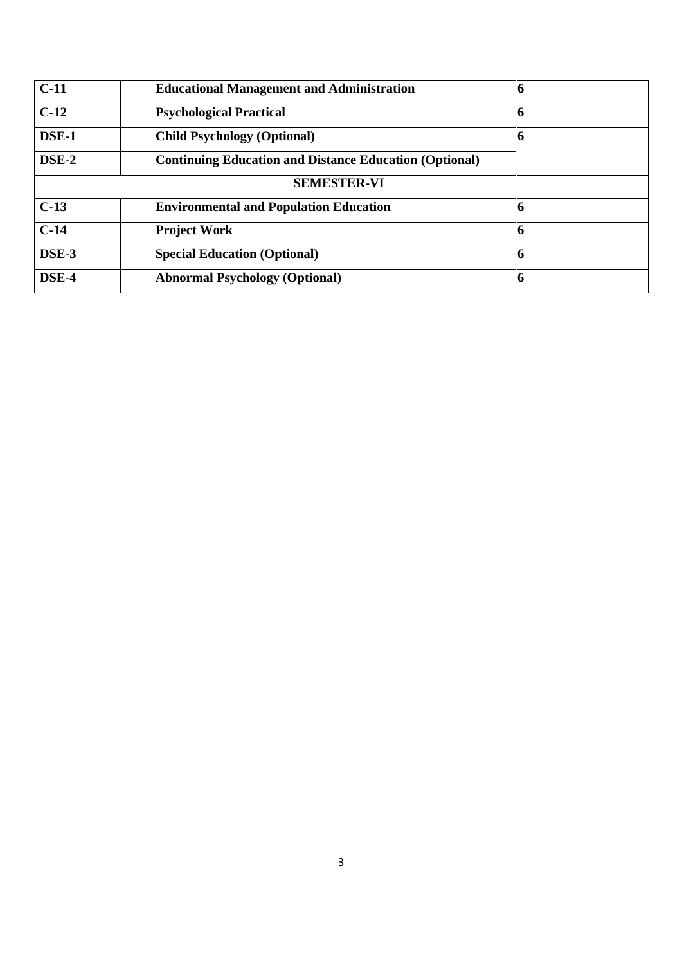| $C-11$             | <b>Educational Management and Administration</b>              |  |  |  |  |
|--------------------|---------------------------------------------------------------|--|--|--|--|
| $C-12$             | <b>Psychological Practical</b>                                |  |  |  |  |
| DSE-1              | <b>Child Psychology (Optional)</b>                            |  |  |  |  |
|                    | <b>Continuing Education and Distance Education (Optional)</b> |  |  |  |  |
| <b>SEMESTER-VI</b> |                                                               |  |  |  |  |
| $C-13$             | <b>Environmental and Population Education</b>                 |  |  |  |  |
| $C-14$             | <b>Project Work</b>                                           |  |  |  |  |
| DSE-3              | <b>Special Education (Optional)</b>                           |  |  |  |  |
| DSE-4              | <b>Abnormal Psychology (Optional)</b>                         |  |  |  |  |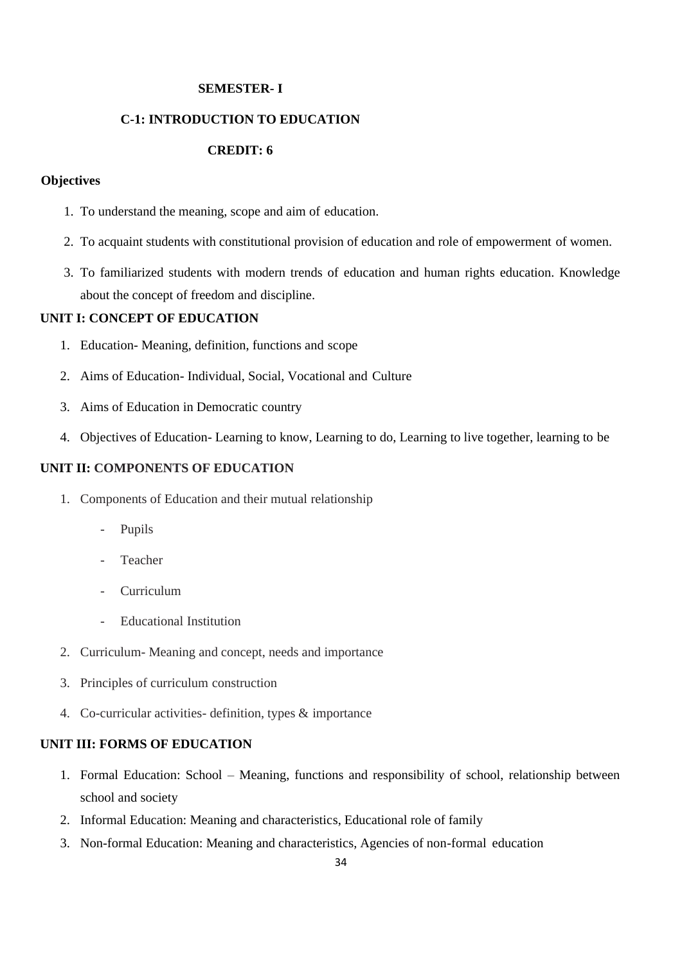#### **SEMESTER- I**

## **C-1: INTRODUCTION TO EDUCATION**

## **CREDIT: 6**

#### **Objectives**

- 1. To understand the meaning, scope and aim of education.
- 2. To acquaint students with constitutional provision of education and role of empowerment of women.
- 3. To familiarized students with modern trends of education and human rights education. Knowledge about the concept of freedom and discipline.

#### **UNIT I: CONCEPT OF EDUCATION**

- 1. Education- Meaning, definition, functions and scope
- 2. Aims of Education- Individual, Social, Vocational and Culture
- 3. Aims of Education in Democratic country
- 4. Objectives of Education- Learning to know, Learning to do, Learning to live together, learning to be

## **UNIT II: COMPONENTS OF EDUCATION**

- 1. Components of Education and their mutual relationship
	- Pupils
	- **Teacher**
	- **Curriculum**
	- Educational Institution
- 2. Curriculum- Meaning and concept, needs and importance
- 3. Principles of curriculum construction
- 4. Co-curricular activities- definition, types & importance

#### **UNIT III: FORMS OF EDUCATION**

- 1. Formal Education: School Meaning, functions and responsibility of school, relationship between school and society
- 2. Informal Education: Meaning and characteristics, Educational role of family
- 3. Non-formal Education: Meaning and characteristics, Agencies of non-formal education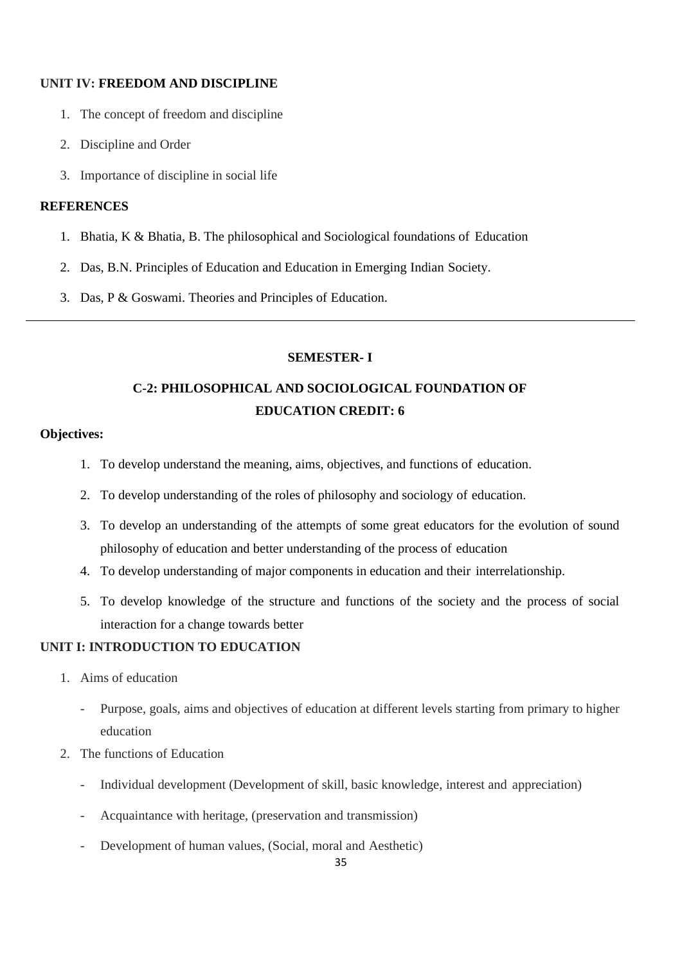## **UNIT IV: FREEDOM AND DISCIPLINE**

- 1. The concept of freedom and discipline
- 2. Discipline and Order
- 3. Importance of discipline in social life

## **REFERENCES**

- 1. Bhatia, K & Bhatia, B. The philosophical and Sociological foundations of Education
- 2. Das, B.N. Principles of Education and Education in Emerging Indian Society.
- 3. Das, P & Goswami. Theories and Principles of Education.

## **SEMESTER- I**

# **C-2: PHILOSOPHICAL AND SOCIOLOGICAL FOUNDATION OF EDUCATION CREDIT: 6**

## **Objectives:**

- 1. To develop understand the meaning, aims, objectives, and functions of education.
- 2. To develop understanding of the roles of philosophy and sociology of education.
- 3. To develop an understanding of the attempts of some great educators for the evolution of sound philosophy of education and better understanding of the process of education
- 4. To develop understanding of major components in education and their interrelationship.
- 5. To develop knowledge of the structure and functions of the society and the process of social interaction for a change towards better

## **UNIT I: INTRODUCTION TO EDUCATION**

- 1. Aims of education
	- Purpose, goals, aims and objectives of education at different levels starting from primary to higher education
- 2. The functions of Education
	- Individual development (Development of skill, basic knowledge, interest and appreciation)
	- Acquaintance with heritage, (preservation and transmission)
	- Development of human values, (Social, moral and Aesthetic)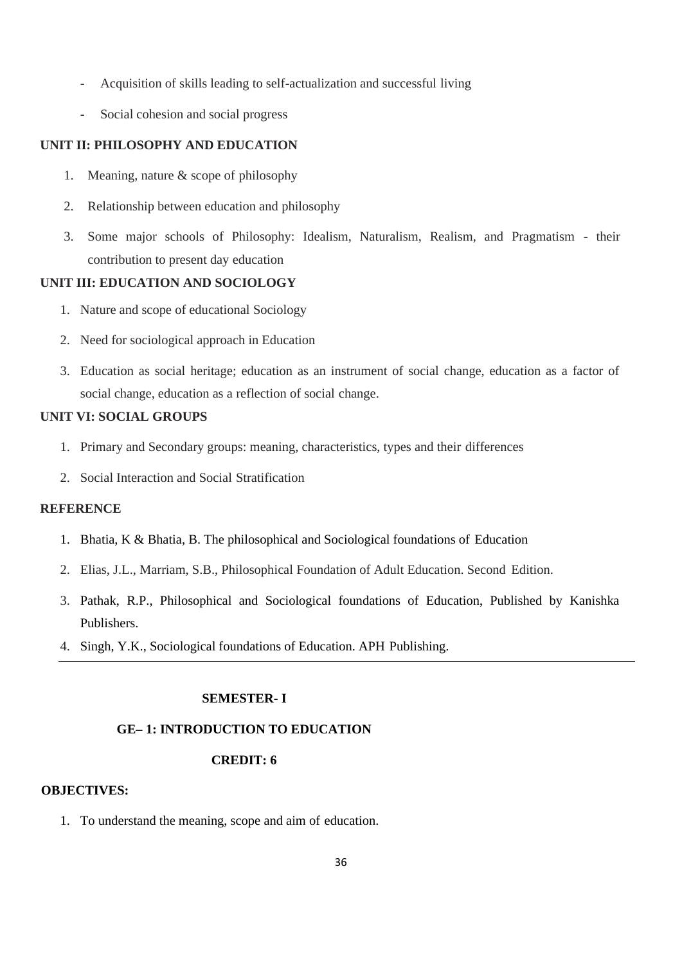- Acquisition of skills leading to self-actualization and successful living
- Social cohesion and social progress

## **UNIT II: PHILOSOPHY AND EDUCATION**

- 1. Meaning, nature & scope of philosophy
- 2. Relationship between education and philosophy
- 3. Some major schools of Philosophy: Idealism, Naturalism, Realism, and Pragmatism their contribution to present day education

## **UNIT III: EDUCATION AND SOCIOLOGY**

- 1. Nature and scope of educational Sociology
- 2. Need for sociological approach in Education
- 3. Education as social heritage; education as an instrument of social change, education as a factor of social change, education as a reflection of social change.

#### **UNIT VI: SOCIAL GROUPS**

- 1. Primary and Secondary groups: meaning, characteristics, types and their differences
- 2. Social Interaction and Social Stratification

## **REFERENCE**

- 1. Bhatia, K & Bhatia, B. The philosophical and Sociological foundations of Education
- 2. Elias, J.L., Marriam, S.B., Philosophical Foundation of Adult Education. Second Edition.
- 3. Pathak, R.P., Philosophical and Sociological foundations of Education, Published by Kanishka Publishers.
- 4. Singh, Y.K., Sociological foundations of Education. APH Publishing.

## **SEMESTER- I**

## **GE– 1: INTRODUCTION TO EDUCATION**

## **CREDIT: 6**

## **OBJECTIVES:**

1. To understand the meaning, scope and aim of education.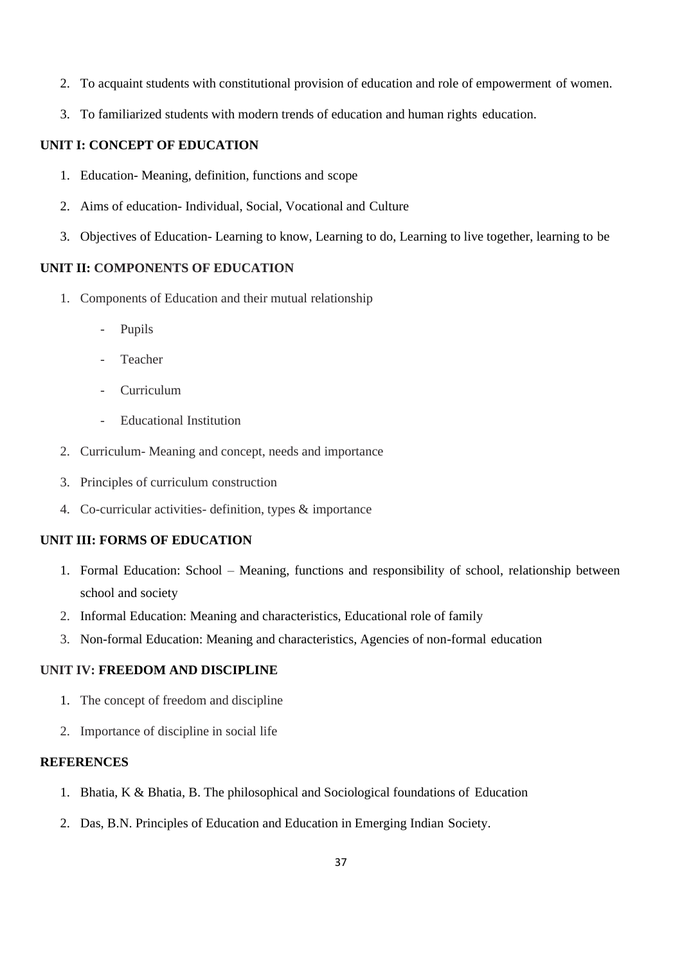- 2. To acquaint students with constitutional provision of education and role of empowerment of women.
- 3. To familiarized students with modern trends of education and human rights education.

## **UNIT I: CONCEPT OF EDUCATION**

- 1. Education- Meaning, definition, functions and scope
- 2. Aims of education- Individual, Social, Vocational and Culture
- 3. Objectives of Education- Learning to know, Learning to do, Learning to live together, learning to be

## **UNIT II: COMPONENTS OF EDUCATION**

- 1. Components of Education and their mutual relationship
	- Pupils
	- **Teacher**
	- Curriculum
	- Educational Institution
- 2. Curriculum- Meaning and concept, needs and importance
- 3. Principles of curriculum construction
- 4. Co-curricular activities- definition, types & importance

## **UNIT III: FORMS OF EDUCATION**

- 1. Formal Education: School Meaning, functions and responsibility of school, relationship between school and society
- 2. Informal Education: Meaning and characteristics, Educational role of family
- 3. Non-formal Education: Meaning and characteristics, Agencies of non-formal education

## **UNIT IV: FREEDOM AND DISCIPLINE**

- 1. The concept of freedom and discipline
- 2. Importance of discipline in social life

- 1. Bhatia, K & Bhatia, B. The philosophical and Sociological foundations of Education
- 2. Das, B.N. Principles of Education and Education in Emerging Indian Society.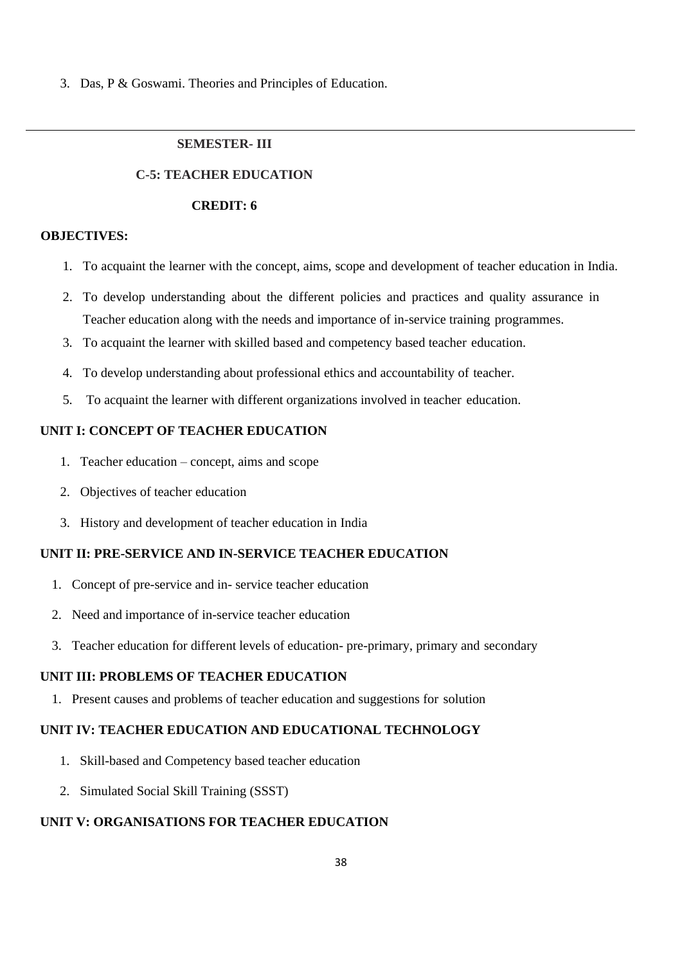3. Das, P & Goswami. Theories and Principles of Education.

## **SEMESTER- III**

#### **C-5: TEACHER EDUCATION**

#### **CREDIT: 6**

## **OBJECTIVES:**

- 1. To acquaint the learner with the concept, aims, scope and development of teacher education in India.
- 2. To develop understanding about the different policies and practices and quality assurance in Teacher education along with the needs and importance of in-service training programmes.
- 3. To acquaint the learner with skilled based and competency based teacher education.
- 4. To develop understanding about professional ethics and accountability of teacher.
- 5. To acquaint the learner with different organizations involved in teacher education.

### **UNIT I: CONCEPT OF TEACHER EDUCATION**

- 1. Teacher education concept, aims and scope
- 2. Objectives of teacher education
- 3. History and development of teacher education in India

## **UNIT II: PRE-SERVICE AND IN-SERVICE TEACHER EDUCATION**

- 1. Concept of pre-service and in- service teacher education
- 2. Need and importance of in-service teacher education
- 3. Teacher education for different levels of education- pre-primary, primary and secondary

## **UNIT III: PROBLEMS OF TEACHER EDUCATION**

1. Present causes and problems of teacher education and suggestions for solution

## **UNIT IV: TEACHER EDUCATION AND EDUCATIONAL TECHNOLOGY**

- 1. Skill-based and Competency based teacher education
- 2. Simulated Social Skill Training (SSST)

## **UNIT V: ORGANISATIONS FOR TEACHER EDUCATION**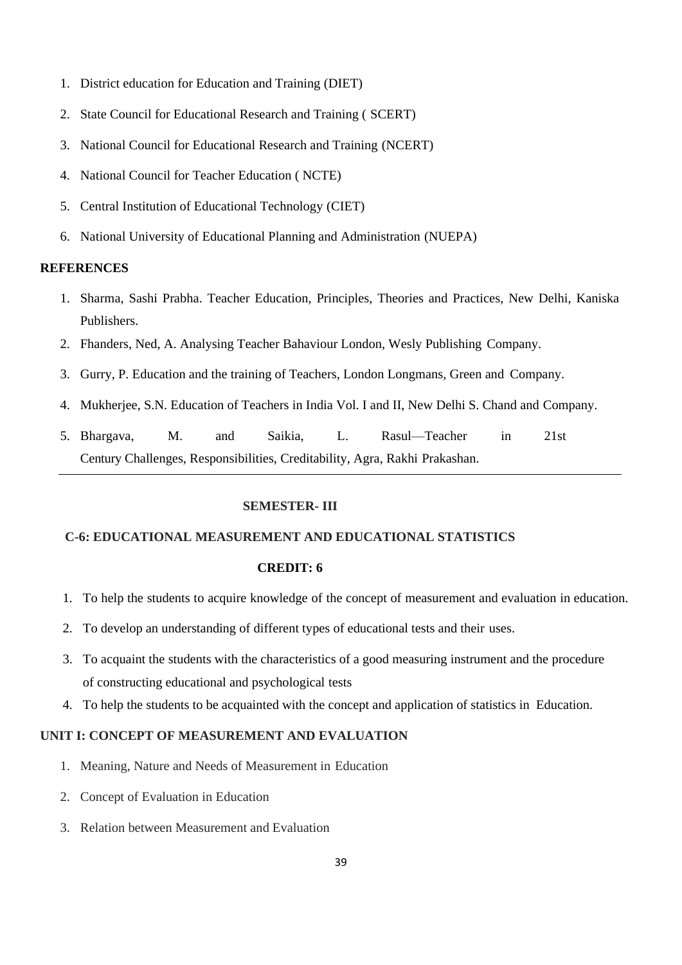- 1. District education for Education and Training (DIET)
- 2. State Council for Educational Research and Training ( SCERT)
- 3. National Council for Educational Research and Training (NCERT)
- 4. National Council for Teacher Education ( NCTE)
- 5. Central Institution of Educational Technology (CIET)
- 6. National University of Educational Planning and Administration (NUEPA)

#### **REFERENCES**

- 1. Sharma, Sashi Prabha. Teacher Education, Principles, Theories and Practices, New Delhi, Kaniska Publishers.
- 2. Fhanders, Ned, A. Analysing Teacher Bahaviour London, Wesly Publishing Company.
- 3. Gurry, P. Education and the training of Teachers, London Longmans, Green and Company.
- 4. Mukherjee, S.N. Education of Teachers in India Vol. I and II, New Delhi S. Chand and Company.
- 5. Bhargava, M. and Saikia, L. Rasul—Teacher in 21st Century Challenges, Responsibilities, Creditability, Agra, Rakhi Prakashan.

#### **SEMESTER- III**

### **C-6: EDUCATIONAL MEASUREMENT AND EDUCATIONAL STATISTICS**

## **CREDIT: 6**

- 1. To help the students to acquire knowledge of the concept of measurement and evaluation in education.
- 2. To develop an understanding of different types of educational tests and their uses.
- 3. To acquaint the students with the characteristics of a good measuring instrument and the procedure of constructing educational and psychological tests
- 4. To help the students to be acquainted with the concept and application of statistics in Education.

## **UNIT I: CONCEPT OF MEASUREMENT AND EVALUATION**

- 1. Meaning, Nature and Needs of Measurement in Education
- 2. Concept of Evaluation in Education
- 3. Relation between Measurement and Evaluation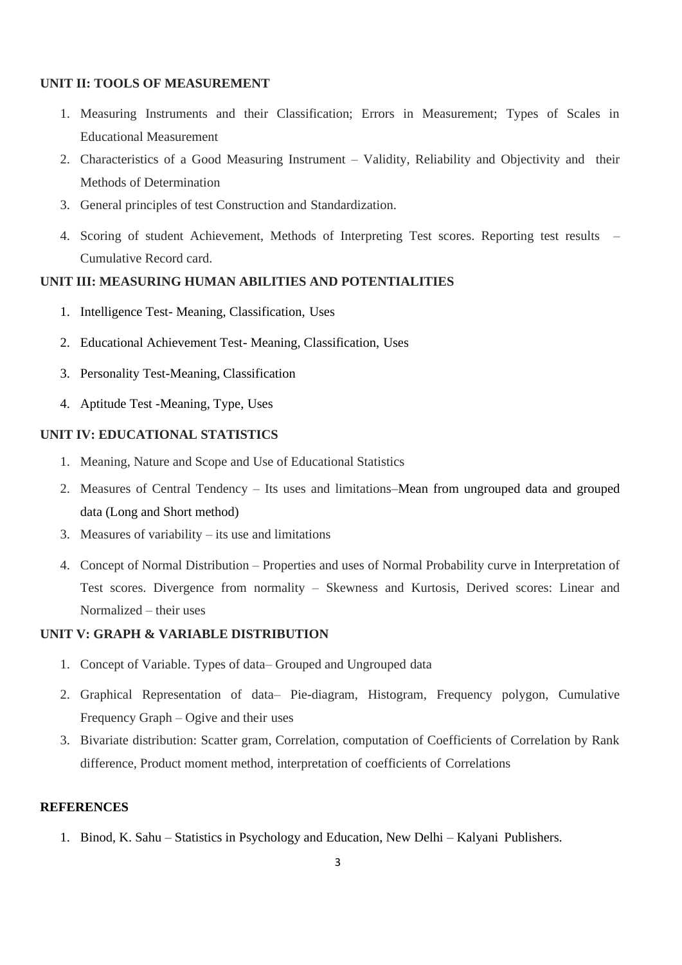## **UNIT II: TOOLS OF MEASUREMENT**

- 1. Measuring Instruments and their Classification; Errors in Measurement; Types of Scales in Educational Measurement
- 2. Characteristics of a Good Measuring Instrument Validity, Reliability and Objectivity and their Methods of Determination
- 3. General principles of test Construction and Standardization.
- 4. Scoring of student Achievement, Methods of Interpreting Test scores. Reporting test results Cumulative Record card.

## **UNIT III: MEASURING HUMAN ABILITIES AND POTENTIALITIES**

- 1. Intelligence Test- Meaning, Classification, Uses
- 2. Educational Achievement Test- Meaning, Classification, Uses
- 3. Personality Test-Meaning, Classification
- 4. Aptitude Test -Meaning, Type, Uses

## **UNIT IV: EDUCATIONAL STATISTICS**

- 1. Meaning, Nature and Scope and Use of Educational Statistics
- 2. Measures of Central Tendency Its uses and limitations–Mean from ungrouped data and grouped data (Long and Short method)
- 3. Measures of variability its use and limitations
- 4. Concept of Normal Distribution Properties and uses of Normal Probability curve in Interpretation of Test scores. Divergence from normality – Skewness and Kurtosis, Derived scores: Linear and Normalized – their uses

## **UNIT V: GRAPH & VARIABLE DISTRIBUTION**

- 1. Concept of Variable. Types of data– Grouped and Ungrouped data
- 2. Graphical Representation of data– Pie-diagram, Histogram, Frequency polygon, Cumulative Frequency Graph – Ogive and their uses
- 3. Bivariate distribution: Scatter gram, Correlation, computation of Coefficients of Correlation by Rank difference, Product moment method, interpretation of coefficients of Correlations

## **REFERENCES**

1. Binod, K. Sahu – Statistics in Psychology and Education, New Delhi – Kalyani Publishers.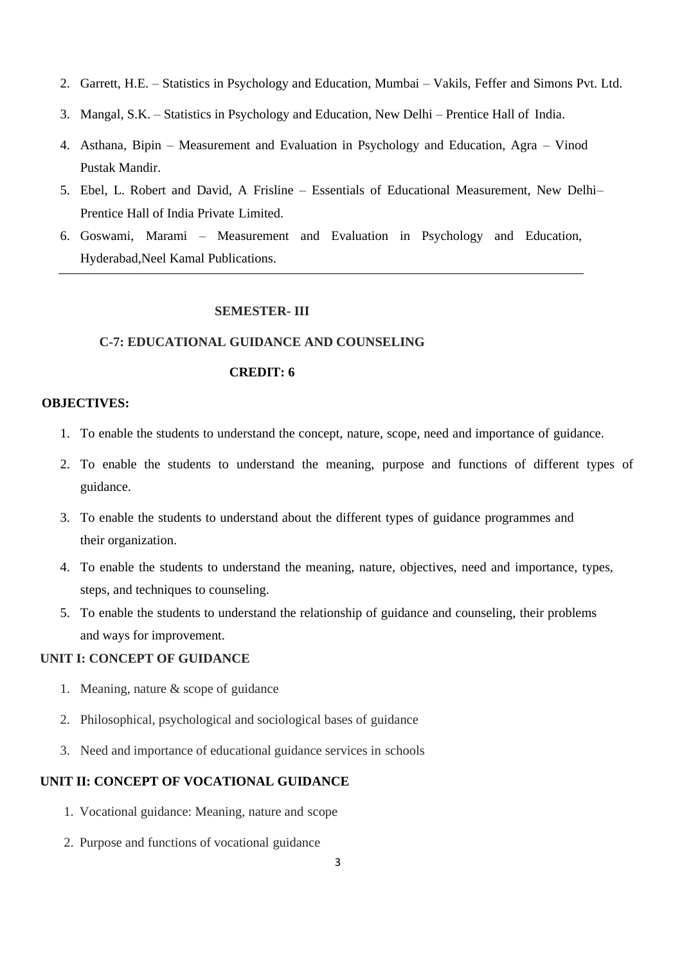- 2. Garrett, H.E. Statistics in Psychology and Education, Mumbai Vakils, Feffer and Simons Pvt. Ltd.
- 3. Mangal, S.K. Statistics in Psychology and Education, New Delhi Prentice Hall of India.
- 4. Asthana, Bipin Measurement and Evaluation in Psychology and Education, Agra Vinod Pustak Mandir.
- 5. Ebel, L. Robert and David, A Frisline Essentials of Educational Measurement, New Delhi– Prentice Hall of India Private Limited.
- 6. Goswami, Marami Measurement and Evaluation in Psychology and Education, Hyderabad,Neel Kamal Publications.

#### **SEMESTER- III**

#### **C-7: EDUCATIONAL GUIDANCE AND COUNSELING**

## **CREDIT: 6**

#### **OBJECTIVES:**

- 1. To enable the students to understand the concept, nature, scope, need and importance of guidance.
- 2. To enable the students to understand the meaning, purpose and functions of different types of guidance.
- 3. To enable the students to understand about the different types of guidance programmes and their organization.
- 4. To enable the students to understand the meaning, nature, objectives, need and importance, types, steps, and techniques to counseling.
- 5. To enable the students to understand the relationship of guidance and counseling, their problems and ways for improvement.

## **UNIT I: CONCEPT OF GUIDANCE**

- 1. Meaning, nature & scope of guidance
- 2. Philosophical, psychological and sociological bases of guidance
- 3. Need and importance of educational guidance services in schools

## **UNIT II: CONCEPT OF VOCATIONAL GUIDANCE**

- 1. Vocational guidance: Meaning, nature and scope
- 2. Purpose and functions of vocational guidance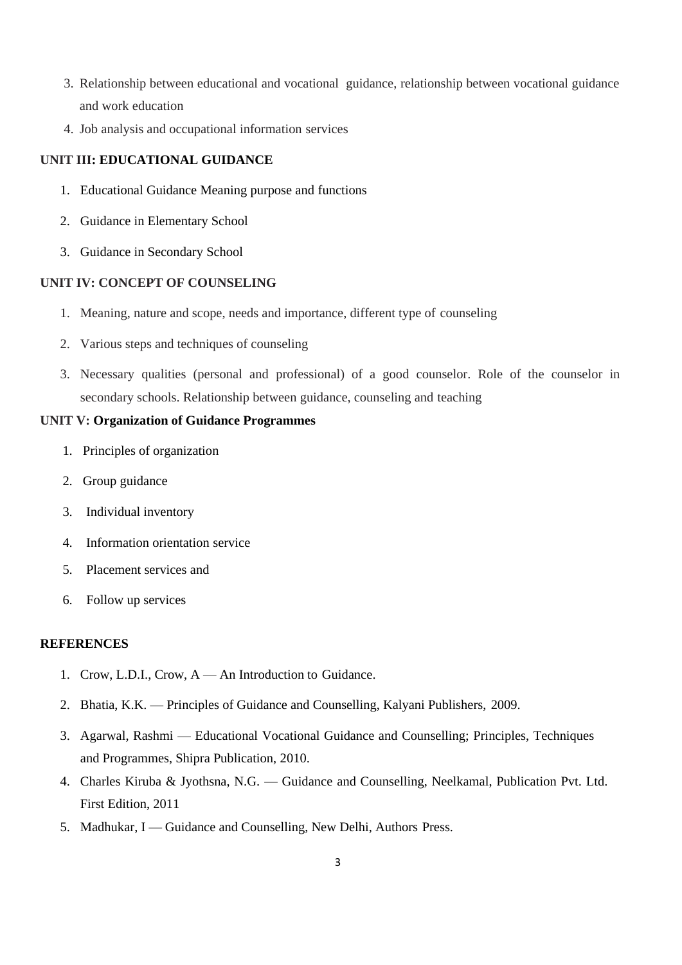- 3. Relationship between educational and vocational guidance, relationship between vocational guidance and work education
- 4. Job analysis and occupational information services

## **UNIT III: EDUCATIONAL GUIDANCE**

- 1. Educational Guidance Meaning purpose and functions
- 2. Guidance in Elementary School
- 3. Guidance in Secondary School

## **UNIT IV: CONCEPT OF COUNSELING**

- 1. Meaning, nature and scope, needs and importance, different type of counseling
- 2. Various steps and techniques of counseling
- 3. Necessary qualities (personal and professional) of a good counselor. Role of the counselor in secondary schools. Relationship between guidance, counseling and teaching

## **UNIT V: Organization of Guidance Programmes**

- 1. Principles of organization
- 2. Group guidance
- 3. Individual inventory
- 4. Information orientation service
- 5. Placement services and
- 6. Follow up services

- 1. Crow, L.D.I., Crow, A An Introduction to Guidance.
- 2. Bhatia, K.K. Principles of Guidance and Counselling, Kalyani Publishers, 2009.
- 3. Agarwal, Rashmi Educational Vocational Guidance and Counselling; Principles, Techniques and Programmes, Shipra Publication, 2010.
- 4. Charles Kiruba & Jyothsna, N.G. Guidance and Counselling, Neelkamal, Publication Pvt. Ltd. First Edition, 2011
- 5. Madhukar, I Guidance and Counselling, New Delhi, Authors Press.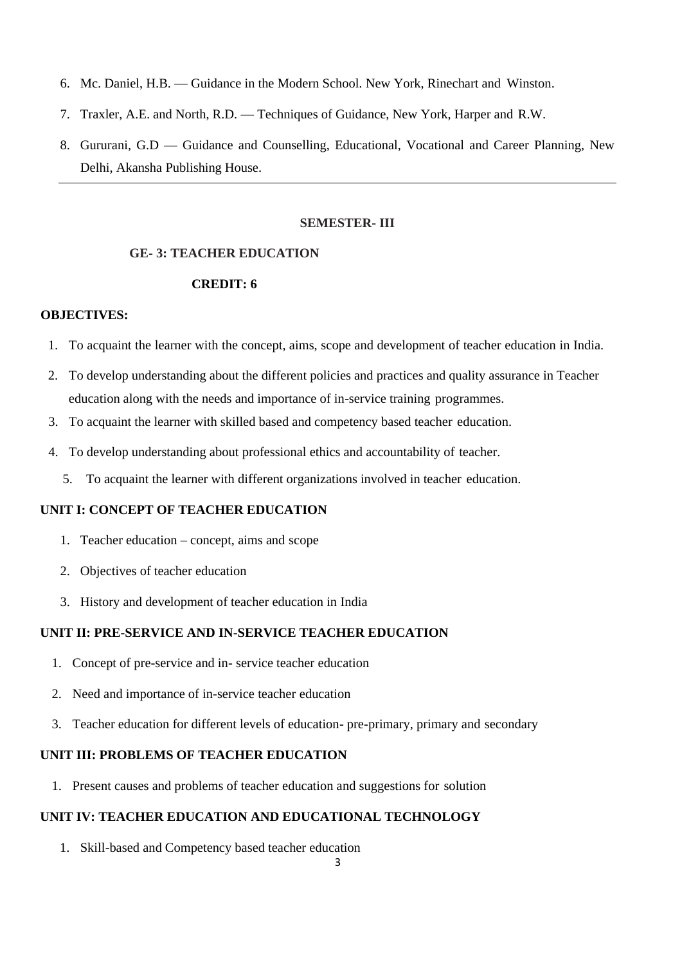- 6. Mc. Daniel, H.B. Guidance in the Modern School. New York, Rinechart and Winston.
- 7. Traxler, A.E. and North, R.D. Techniques of Guidance, New York, Harper and R.W.
- 8. Gururani, G.D Guidance and Counselling, Educational, Vocational and Career Planning, New Delhi, Akansha Publishing House.

#### **SEMESTER- III**

#### **GE- 3: TEACHER EDUCATION**

## **CREDIT: 6**

#### **OBJECTIVES:**

- 1. To acquaint the learner with the concept, aims, scope and development of teacher education in India.
- 2. To develop understanding about the different policies and practices and quality assurance in Teacher education along with the needs and importance of in-service training programmes.
- 3. To acquaint the learner with skilled based and competency based teacher education.
- 4. To develop understanding about professional ethics and accountability of teacher.
	- 5. To acquaint the learner with different organizations involved in teacher education.

## **UNIT I: CONCEPT OF TEACHER EDUCATION**

- 1. Teacher education concept, aims and scope
- 2. Objectives of teacher education
- 3. History and development of teacher education in India

#### **UNIT II: PRE-SERVICE AND IN-SERVICE TEACHER EDUCATION**

- 1. Concept of pre-service and in- service teacher education
- 2. Need and importance of in-service teacher education
- 3. Teacher education for different levels of education- pre-primary, primary and secondary

## **UNIT III: PROBLEMS OF TEACHER EDUCATION**

1. Present causes and problems of teacher education and suggestions for solution

## **UNIT IV: TEACHER EDUCATION AND EDUCATIONAL TECHNOLOGY**

1. Skill-based and Competency based teacher education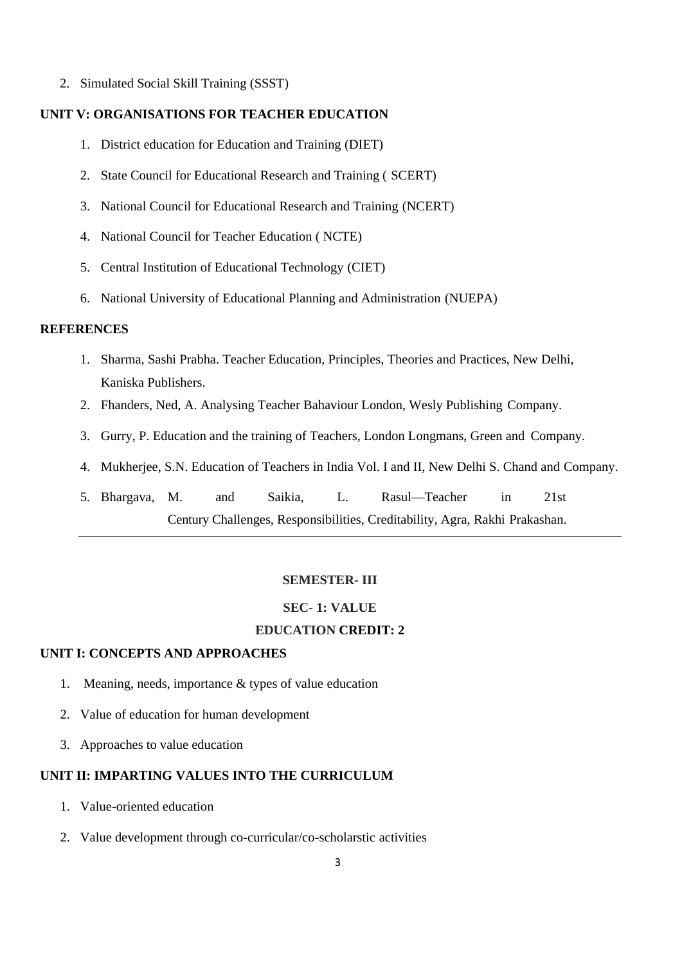2. Simulated Social Skill Training (SSST)

## **UNIT V: ORGANISATIONS FOR TEACHER EDUCATION**

- 1. District education for Education and Training (DIET)
- 2. State Council for Educational Research and Training ( SCERT)
- 3. National Council for Educational Research and Training (NCERT)
- 4. National Council for Teacher Education ( NCTE)
- 5. Central Institution of Educational Technology (CIET)
- 6. National University of Educational Planning and Administration (NUEPA)

#### **REFERENCES**

- 1. Sharma, Sashi Prabha. Teacher Education, Principles, Theories and Practices, New Delhi, Kaniska Publishers.
- 2. Fhanders, Ned, A. Analysing Teacher Bahaviour London, Wesly Publishing Company.
- 3. Gurry, P. Education and the training of Teachers, London Longmans, Green and Company.
- 4. Mukherjee, S.N. Education of Teachers in India Vol. I and II, New Delhi S. Chand and Company.
- 5. Bhargava, M. and Saikia, L. Rasul—Teacher in 21st Century Challenges, Responsibilities, Creditability, Agra, Rakhi Prakashan.

#### **SEMESTER- III**

#### **SEC- 1: VALUE**

## **EDUCATION CREDIT: 2**

#### **UNIT I: CONCEPTS AND APPROACHES**

- 1. Meaning, needs, importance & types of value education
- 2. Value of education for human development
- 3. Approaches to value education

## **UNIT II: IMPARTING VALUES INTO THE CURRICULUM**

- 1. Value-oriented education
- 2. Value development through co-curricular/co-scholarstic activities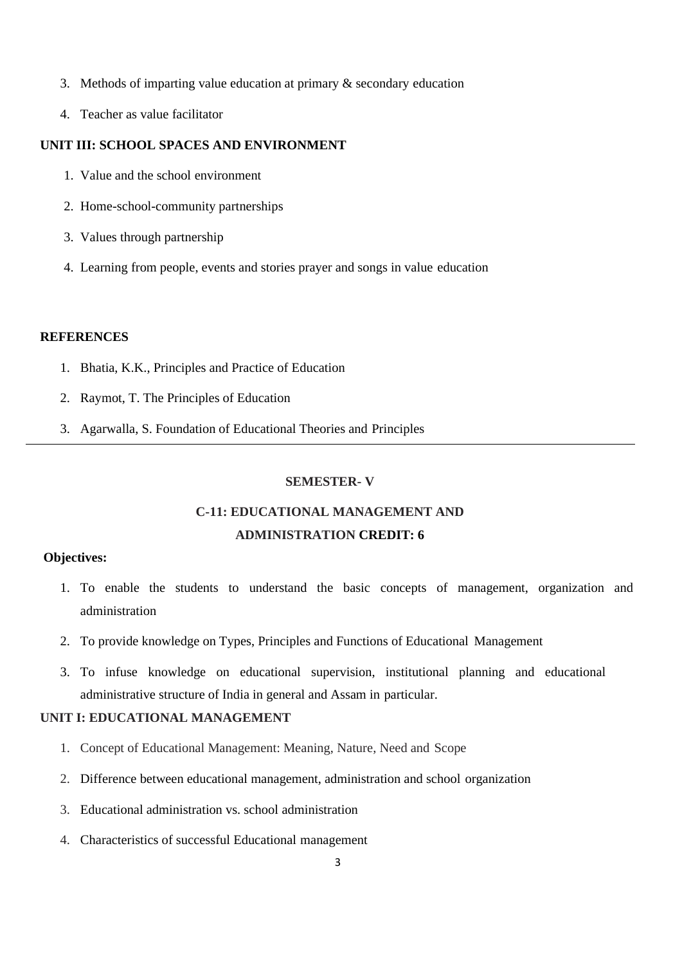- 3. Methods of imparting value education at primary & secondary education
- 4. Teacher as value facilitator

## **UNIT III: SCHOOL SPACES AND ENVIRONMENT**

- 1. Value and the school environment
- 2. Home-school-community partnerships
- 3. Values through partnership
- 4. Learning from people, events and stories prayer and songs in value education

#### **REFERENCES**

- 1. Bhatia, K.K., Principles and Practice of Education
- 2. Raymot, T. The Principles of Education
- 3. Agarwalla, S. Foundation of Educational Theories and Principles

#### **SEMESTER- V**

## **C-11: EDUCATIONAL MANAGEMENT AND ADMINISTRATION CREDIT: 6**

## **Objectives:**

- 1. To enable the students to understand the basic concepts of management, organization and administration
- 2. To provide knowledge on Types, Principles and Functions of Educational Management
- 3. To infuse knowledge on educational supervision, institutional planning and educational administrative structure of India in general and Assam in particular.

## **UNIT I: EDUCATIONAL MANAGEMENT**

- 1. Concept of Educational Management: Meaning, Nature, Need and Scope
- 2. Difference between educational management, administration and school organization
- 3. Educational administration vs. school administration
- 4. Characteristics of successful Educational management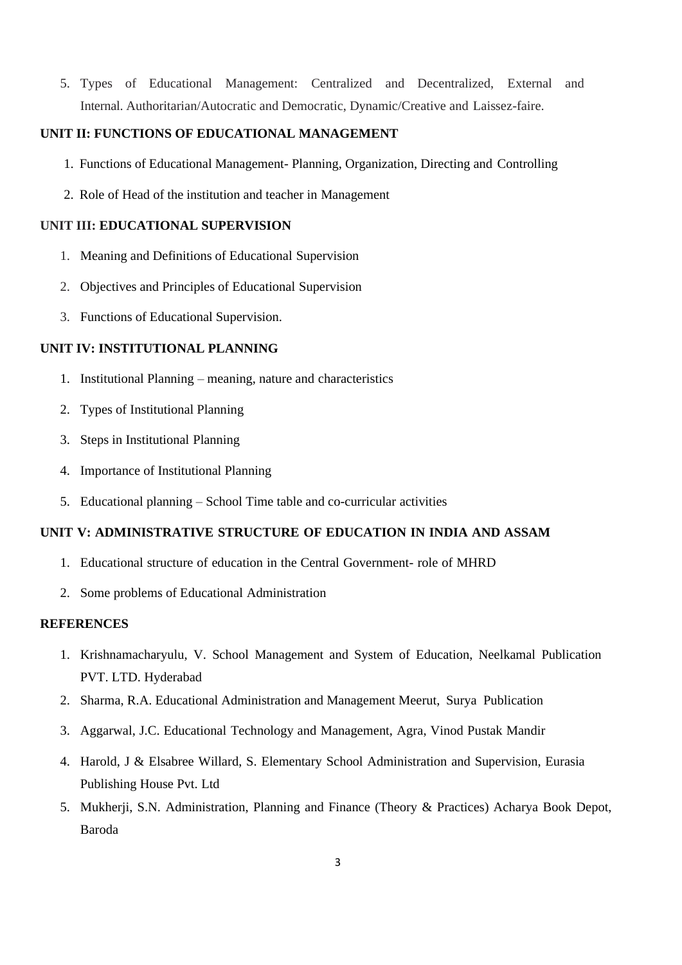5. Types of Educational Management: Centralized and Decentralized, External and Internal. Authoritarian/Autocratic and Democratic, Dynamic/Creative and Laissez-faire.

## **UNIT II: FUNCTIONS OF EDUCATIONAL MANAGEMENT**

- 1. Functions of Educational Management- Planning, Organization, Directing and Controlling
- 2. Role of Head of the institution and teacher in Management

#### **UNIT III: EDUCATIONAL SUPERVISION**

- 1. Meaning and Definitions of Educational Supervision
- 2. Objectives and Principles of Educational Supervision
- 3. Functions of Educational Supervision.

## **UNIT IV: INSTITUTIONAL PLANNING**

- 1. Institutional Planning meaning, nature and characteristics
- 2. Types of Institutional Planning
- 3. Steps in Institutional Planning
- 4. Importance of Institutional Planning
- 5. Educational planning School Time table and co-curricular activities

## **UNIT V: ADMINISTRATIVE STRUCTURE OF EDUCATION IN INDIA AND ASSAM**

- 1. Educational structure of education in the Central Government- role of MHRD
- 2. Some problems of Educational Administration

- 1. Krishnamacharyulu, V. School Management and System of Education, Neelkamal Publication PVT. LTD. Hyderabad
- 2. Sharma, R.A. Educational Administration and Management Meerut, Surya Publication
- 3. Aggarwal, J.C. Educational Technology and Management, Agra, Vinod Pustak Mandir
- 4. Harold, J & Elsabree Willard, S. Elementary School Administration and Supervision, Eurasia Publishing House Pvt. Ltd
- 5. Mukherji, S.N. Administration, Planning and Finance (Theory & Practices) Acharya Book Depot, Baroda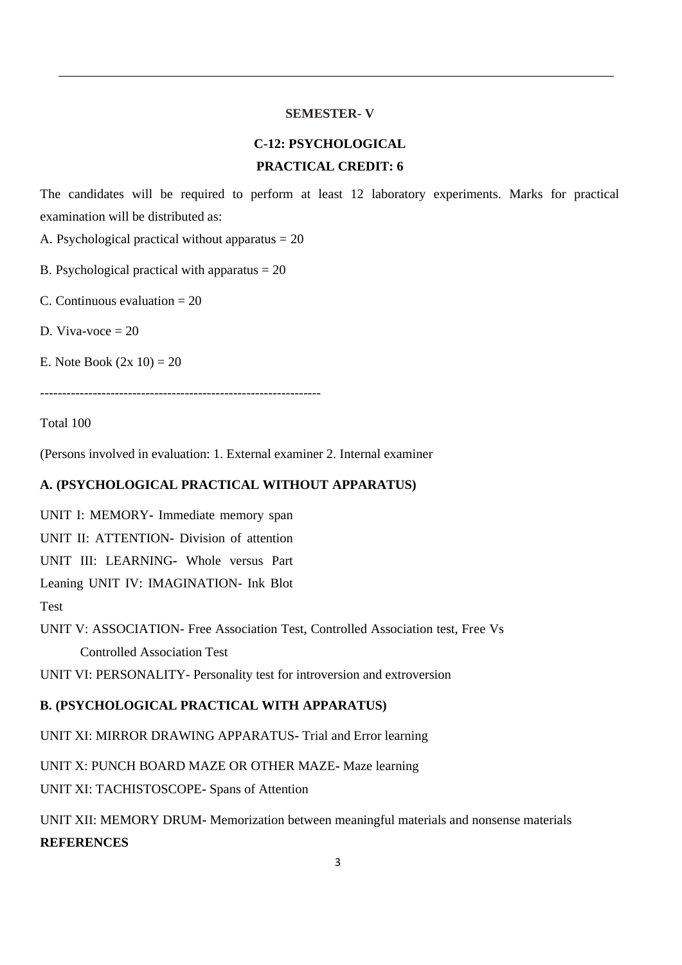#### **SEMESTER- V**

# **C-12: PSYCHOLOGICAL PRACTICAL CREDIT: 6**

The candidates will be required to perform at least 12 laboratory experiments. Marks for practical examination will be distributed as:

A. Psychological practical without apparatus  $= 20$ 

B. Psychological practical with apparatus  $= 20$ 

C. Continuous evaluation  $= 20$ 

D. Viva-voce  $= 20$ 

E. Note Book  $(2x 10) = 20$ 

----------------------------------------------------------------

Total 100

(Persons involved in evaluation: 1. External examiner 2. Internal examiner

## **A. (PSYCHOLOGICAL PRACTICAL WITHOUT APPARATUS)**

UNIT I: MEMORY**-** Immediate memory span

UNIT II: ATTENTION**-** Division of attention

UNIT III: LEARNING**-** Whole versus Part

Leaning UNIT IV: IMAGINATION- Ink Blot

Test

UNIT V: ASSOCIATION- Free Association Test, Controlled Association test, Free Vs Controlled Association Test

UNIT VI: PERSONALITY- Personality test for introversion and extroversion

## **B. (PSYCHOLOGICAL PRACTICAL WITH APPARATUS)**

UNIT XI: MIRROR DRAWING APPARATUS**-** Trial and Error learning

UNIT X: PUNCH BOARD MAZE OR OTHER MAZE**-** Maze learning

UNIT XI: TACHISTOSCOPE**-** Spans of Attention

UNIT XII: MEMORY DRUM**-** Memorization between meaningful materials and nonsense materials **REFERENCES**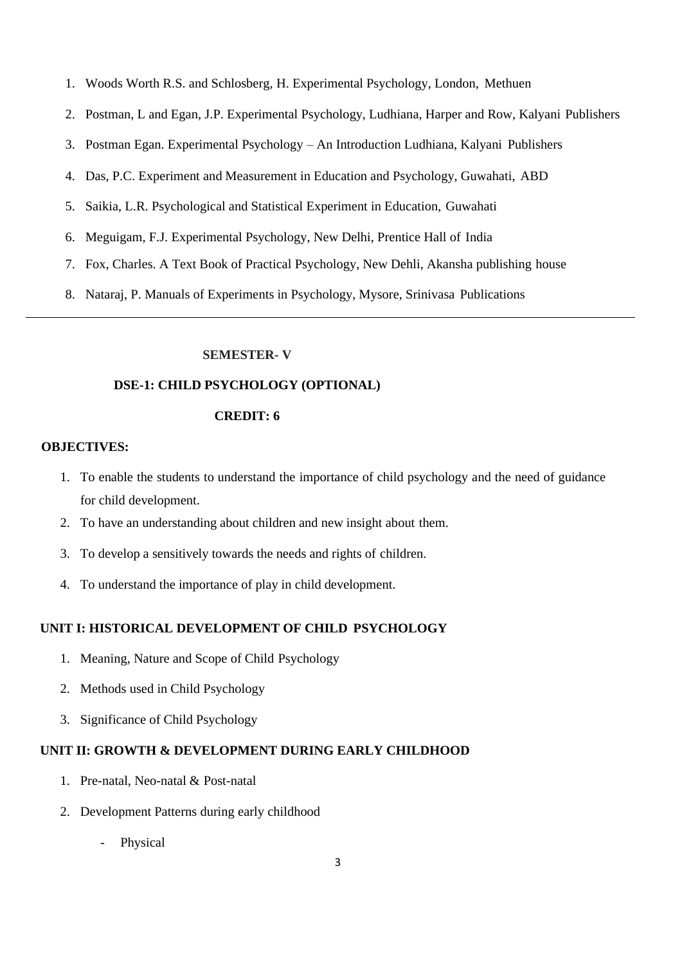- 1. Woods Worth R.S. and Schlosberg, H. Experimental Psychology, London, Methuen
- 2. Postman, L and Egan, J.P. Experimental Psychology, Ludhiana, Harper and Row, Kalyani Publishers
- 3. Postman Egan. Experimental Psychology An Introduction Ludhiana, Kalyani Publishers
- 4. Das, P.C. Experiment and Measurement in Education and Psychology, Guwahati, ABD
- 5. Saikia, L.R. Psychological and Statistical Experiment in Education, Guwahati
- 6. Meguigam, F.J. Experimental Psychology, New Delhi, Prentice Hall of India
- 7. Fox, Charles. A Text Book of Practical Psychology, New Dehli, Akansha publishing house
- 8. Nataraj, P. Manuals of Experiments in Psychology, Mysore, Srinivasa Publications

#### **SEMESTER- V**

#### **DSE-1: CHILD PSYCHOLOGY (OPTIONAL)**

#### **CREDIT: 6**

#### **OBJECTIVES:**

- 1. To enable the students to understand the importance of child psychology and the need of guidance for child development.
- 2. To have an understanding about children and new insight about them.
- 3. To develop a sensitively towards the needs and rights of children.
- 4. To understand the importance of play in child development.

#### **UNIT I: HISTORICAL DEVELOPMENT OF CHILD PSYCHOLOGY**

- 1. Meaning, Nature and Scope of Child Psychology
- 2. Methods used in Child Psychology
- 3. Significance of Child Psychology

#### **UNIT II: GROWTH & DEVELOPMENT DURING EARLY CHILDHOOD**

- 1. Pre-natal, Neo-natal & Post-natal
- 2. Development Patterns during early childhood
	- Physical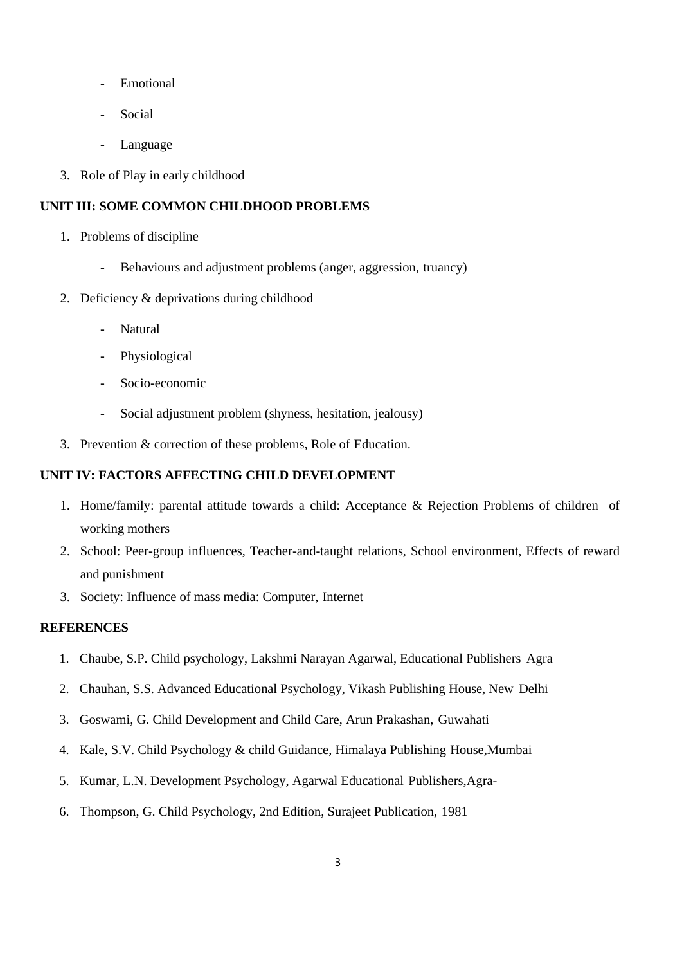- **Emotional**
- Social
- Language
- 3. Role of Play in early childhood

## **UNIT III: SOME COMMON CHILDHOOD PROBLEMS**

- 1. Problems of discipline
	- Behaviours and adjustment problems (anger, aggression, truancy)
- 2. Deficiency & deprivations during childhood
	- **Natural**
	- Physiological
	- Socio-economic
	- Social adjustment problem (shyness, hesitation, jealousy)
- 3. Prevention & correction of these problems, Role of Education.

## **UNIT IV: FACTORS AFFECTING CHILD DEVELOPMENT**

- 1. Home/family: parental attitude towards a child: Acceptance & Rejection Problems of children of working mothers
- 2. School: Peer-group influences, Teacher-and-taught relations, School environment, Effects of reward and punishment
- 3. Society: Influence of mass media: Computer, Internet

- 1. Chaube, S.P. Child psychology, Lakshmi Narayan Agarwal, Educational Publishers Agra
- 2. Chauhan, S.S. Advanced Educational Psychology, Vikash Publishing House, New Delhi
- 3. Goswami, G. Child Development and Child Care, Arun Prakashan, Guwahati
- 4. Kale, S.V. Child Psychology & child Guidance, Himalaya Publishing House,Mumbai
- 5. Kumar, L.N. Development Psychology, Agarwal Educational Publishers,Agra-
- 6. Thompson, G. Child Psychology, 2nd Edition, Surajeet Publication, 1981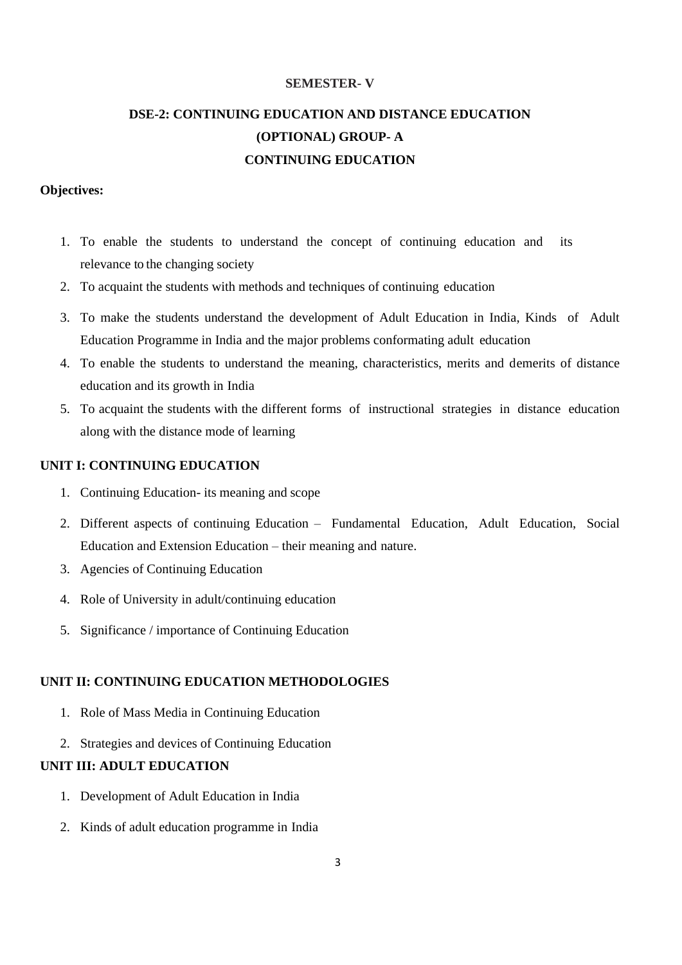## **SEMESTER- V**

# **DSE-2: CONTINUING EDUCATION AND DISTANCE EDUCATION (OPTIONAL) GROUP- A CONTINUING EDUCATION**

#### **Objectives:**

- 1. To enable the students to understand the concept of continuing education and its relevance to the changing society
- 2. To acquaint the students with methods and techniques of continuing education
- 3. To make the students understand the development of Adult Education in India, Kinds of Adult Education Programme in India and the major problems conformating adult education
- 4. To enable the students to understand the meaning, characteristics, merits and demerits of distance education and its growth in India
- 5. To acquaint the students with the different forms of instructional strategies in distance education along with the distance mode of learning

## **UNIT I: CONTINUING EDUCATION**

- 1. Continuing Education- its meaning and scope
- 2. Different aspects of continuing Education Fundamental Education, Adult Education, Social Education and Extension Education – their meaning and nature.
- 3. Agencies of Continuing Education
- 4. Role of University in adult/continuing education
- 5. Significance / importance of Continuing Education

#### **UNIT II: CONTINUING EDUCATION METHODOLOGIES**

- 1. Role of Mass Media in Continuing Education
- 2. Strategies and devices of Continuing Education

## **UNIT III: ADULT EDUCATION**

- 1. Development of Adult Education in India
- 2. Kinds of adult education programme in India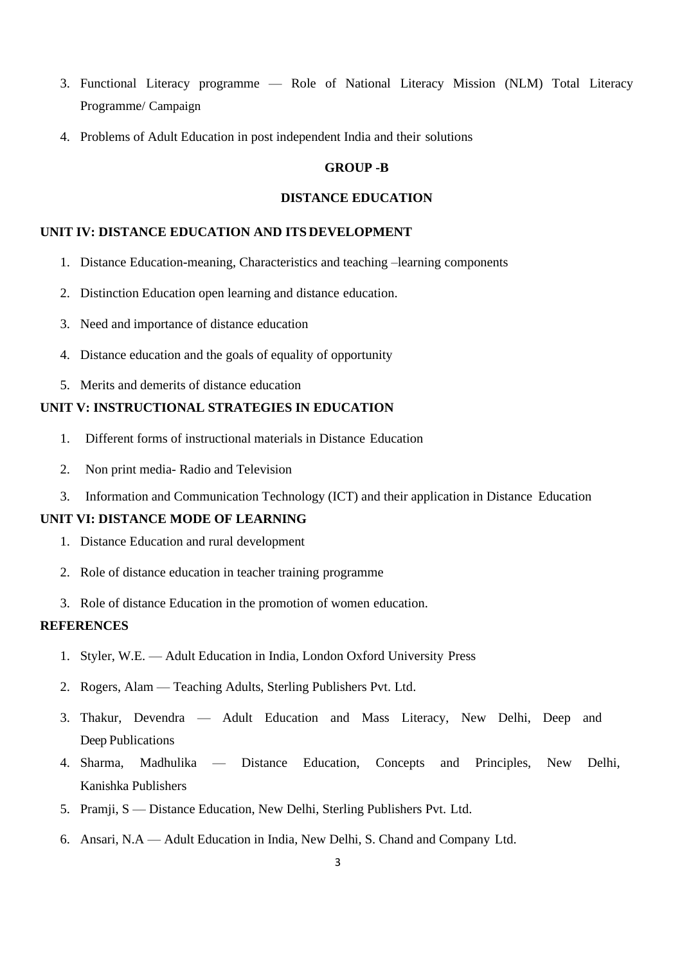- 3. Functional Literacy programme Role of National Literacy Mission (NLM) Total Literacy Programme/ Campaign
- 4. Problems of Adult Education in post independent India and their solutions

#### **GROUP -B**

## **DISTANCE EDUCATION**

## **UNIT IV: DISTANCE EDUCATION AND ITS DEVELOPMENT**

- 1. Distance Education-meaning, Characteristics and teaching –learning components
- 2. Distinction Education open learning and distance education.
- 3. Need and importance of distance education
- 4. Distance education and the goals of equality of opportunity
- 5. Merits and demerits of distance education

## **UNIT V: INSTRUCTIONAL STRATEGIES IN EDUCATION**

- 1. Different forms of instructional materials in Distance Education
- 2. Non print media- Radio and Television
- 3. Information and Communication Technology (ICT) and their application in Distance Education

#### **UNIT VI: DISTANCE MODE OF LEARNING**

- 1. Distance Education and rural development
- 2. Role of distance education in teacher training programme
- 3. Role of distance Education in the promotion of women education.

- 1. Styler, W.E. Adult Education in India, London Oxford University Press
- 2. Rogers, Alam Teaching Adults, Sterling Publishers Pvt. Ltd.
- 3. Thakur, Devendra Adult Education and Mass Literacy, New Delhi, Deep and Deep Publications
- 4. Sharma, Madhulika Distance Education, Concepts and Principles, New Delhi, Kanishka Publishers
- 5. Pramji, S Distance Education, New Delhi, Sterling Publishers Pvt. Ltd.
- 6. Ansari, N.A Adult Education in India, New Delhi, S. Chand and Company Ltd.